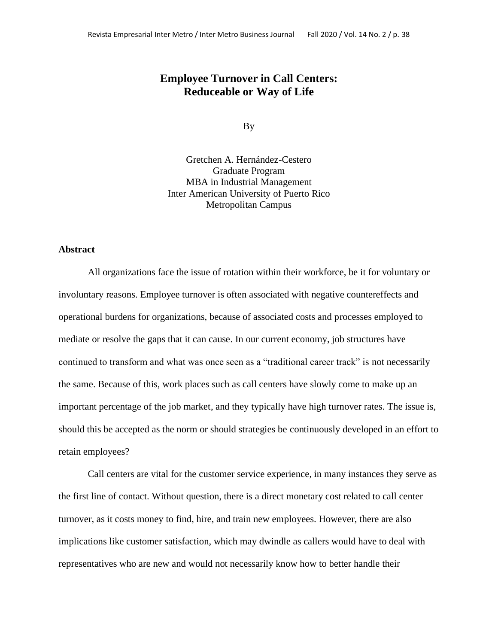# **Employee Turnover in Call Centers: Reduceable or Way of Life**

By

Gretchen A. Hernández-Cestero Graduate Program MBA in Industrial Management Inter American University of Puerto Rico Metropolitan Campus

#### **Abstract**

All organizations face the issue of rotation within their workforce, be it for voluntary or involuntary reasons. Employee turnover is often associated with negative countereffects and operational burdens for organizations, because of associated costs and processes employed to mediate or resolve the gaps that it can cause. In our current economy, job structures have continued to transform and what was once seen as a "traditional career track" is not necessarily the same. Because of this, work places such as call centers have slowly come to make up an important percentage of the job market, and they typically have high turnover rates. The issue is, should this be accepted as the norm or should strategies be continuously developed in an effort to retain employees?

Call centers are vital for the customer service experience, in many instances they serve as the first line of contact. Without question, there is a direct monetary cost related to call center turnover, as it costs money to find, hire, and train new employees. However, there are also implications like customer satisfaction, which may dwindle as callers would have to deal with representatives who are new and would not necessarily know how to better handle their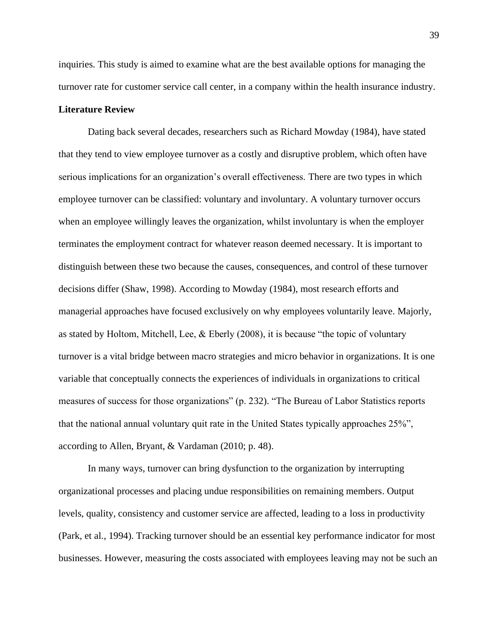inquiries. This study is aimed to examine what are the best available options for managing the turnover rate for customer service call center, in a company within the health insurance industry.

### **Literature Review**

Dating back several decades, researchers such as Richard Mowday (1984), have stated that they tend to view employee turnover as a costly and disruptive problem, which often have serious implications for an organization's overall effectiveness. There are two types in which employee turnover can be classified: voluntary and involuntary. A voluntary turnover occurs when an employee willingly leaves the organization, whilst involuntary is when the employer terminates the employment contract for whatever reason deemed necessary. It is important to distinguish between these two because the causes, consequences, and control of these turnover decisions differ (Shaw, 1998). According to Mowday (1984), most research efforts and managerial approaches have focused exclusively on why employees voluntarily leave. Majorly, as stated by Holtom, Mitchell, Lee, & Eberly (2008), it is because "the topic of voluntary turnover is a vital bridge between macro strategies and micro behavior in organizations. It is one variable that conceptually connects the experiences of individuals in organizations to critical measures of success for those organizations" (p. 232). "The Bureau of Labor Statistics reports that the national annual voluntary quit rate in the United States typically approaches 25%", according to Allen, Bryant, & Vardaman (2010; p. 48).

In many ways, turnover can bring dysfunction to the organization by interrupting organizational processes and placing undue responsibilities on remaining members. Output levels, quality, consistency and customer service are affected, leading to a loss in productivity (Park, et al., 1994). Tracking turnover should be an essential key performance indicator for most businesses. However, measuring the costs associated with employees leaving may not be such an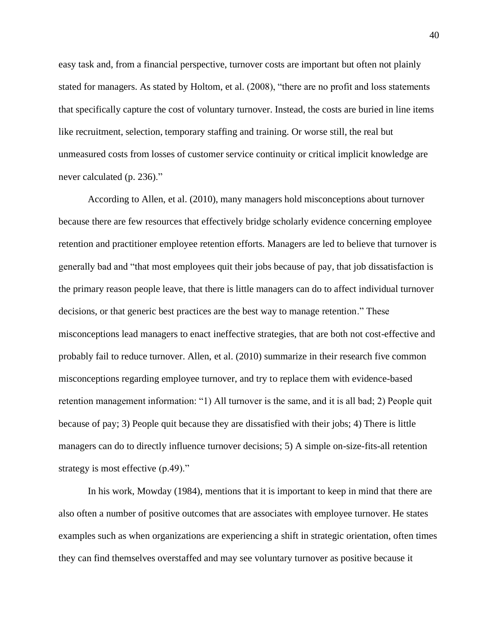easy task and, from a financial perspective, turnover costs are important but often not plainly stated for managers. As stated by Holtom, et al. (2008), "there are no profit and loss statements that specifically capture the cost of voluntary turnover. Instead, the costs are buried in line items like recruitment, selection, temporary staffing and training. Or worse still, the real but unmeasured costs from losses of customer service continuity or critical implicit knowledge are never calculated (p. 236)."

According to Allen, et al. (2010), many managers hold misconceptions about turnover because there are few resources that effectively bridge scholarly evidence concerning employee retention and practitioner employee retention efforts. Managers are led to believe that turnover is generally bad and "that most employees quit their jobs because of pay, that job dissatisfaction is the primary reason people leave, that there is little managers can do to affect individual turnover decisions, or that generic best practices are the best way to manage retention." These misconceptions lead managers to enact ineffective strategies, that are both not cost-effective and probably fail to reduce turnover. Allen, et al. (2010) summarize in their research five common misconceptions regarding employee turnover, and try to replace them with evidence-based retention management information: "1) All turnover is the same, and it is all bad; 2) People quit because of pay; 3) People quit because they are dissatisfied with their jobs; 4) There is little managers can do to directly influence turnover decisions; 5) A simple on-size-fits-all retention strategy is most effective  $(p.49)$ ."

In his work, Mowday (1984), mentions that it is important to keep in mind that there are also often a number of positive outcomes that are associates with employee turnover. He states examples such as when organizations are experiencing a shift in strategic orientation, often times they can find themselves overstaffed and may see voluntary turnover as positive because it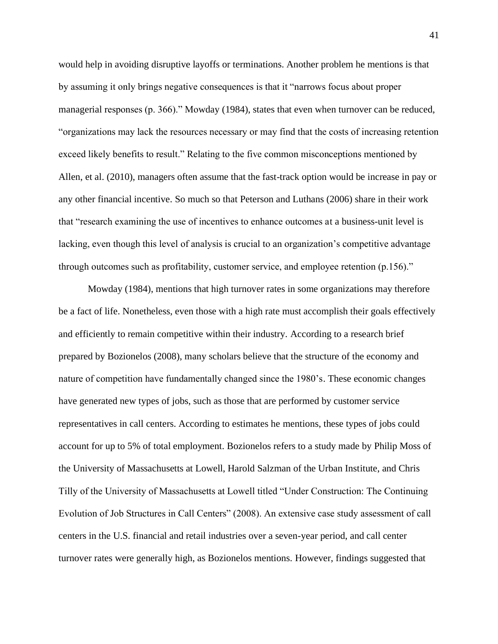would help in avoiding disruptive layoffs or terminations. Another problem he mentions is that by assuming it only brings negative consequences is that it "narrows focus about proper managerial responses (p. 366)." Mowday (1984), states that even when turnover can be reduced, "organizations may lack the resources necessary or may find that the costs of increasing retention exceed likely benefits to result." Relating to the five common misconceptions mentioned by Allen, et al. (2010), managers often assume that the fast-track option would be increase in pay or any other financial incentive. So much so that Peterson and Luthans (2006) share in their work that "research examining the use of incentives to enhance outcomes at a business-unit level is lacking, even though this level of analysis is crucial to an organization's competitive advantage through outcomes such as profitability, customer service, and employee retention (p.156)."

Mowday (1984), mentions that high turnover rates in some organizations may therefore be a fact of life. Nonetheless, even those with a high rate must accomplish their goals effectively and efficiently to remain competitive within their industry. According to a research brief prepared by Bozionelos (2008), many scholars believe that the structure of the economy and nature of competition have fundamentally changed since the 1980's. These economic changes have generated new types of jobs, such as those that are performed by customer service representatives in call centers. According to estimates he mentions, these types of jobs could account for up to 5% of total employment. Bozionelos refers to a study made by Philip Moss of the University of Massachusetts at Lowell, Harold Salzman of the Urban Institute, and Chris Tilly of the University of Massachusetts at Lowell titled "Under Construction: The Continuing Evolution of Job Structures in Call Centers" (2008). An extensive case study assessment of call centers in the U.S. financial and retail industries over a seven-year period, and call center turnover rates were generally high, as Bozionelos mentions. However, findings suggested that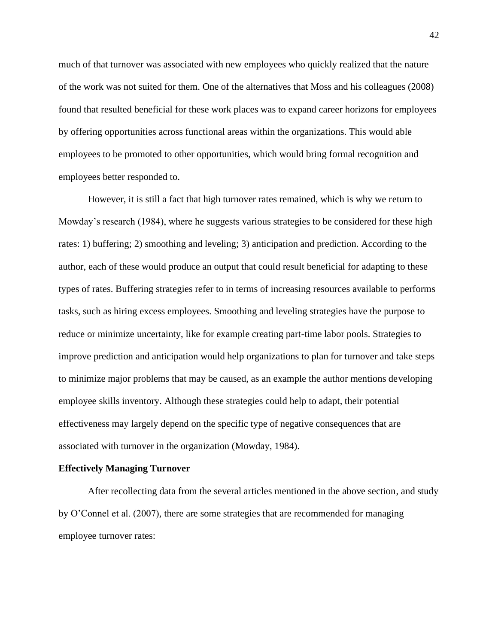much of that turnover was associated with new employees who quickly realized that the nature of the work was not suited for them. One of the alternatives that Moss and his colleagues (2008) found that resulted beneficial for these work places was to expand career horizons for employees by offering opportunities across functional areas within the organizations. This would able employees to be promoted to other opportunities, which would bring formal recognition and employees better responded to.

However, it is still a fact that high turnover rates remained, which is why we return to Mowday's research (1984), where he suggests various strategies to be considered for these high rates: 1) buffering; 2) smoothing and leveling; 3) anticipation and prediction. According to the author, each of these would produce an output that could result beneficial for adapting to these types of rates. Buffering strategies refer to in terms of increasing resources available to performs tasks, such as hiring excess employees. Smoothing and leveling strategies have the purpose to reduce or minimize uncertainty, like for example creating part-time labor pools. Strategies to improve prediction and anticipation would help organizations to plan for turnover and take steps to minimize major problems that may be caused, as an example the author mentions developing employee skills inventory. Although these strategies could help to adapt, their potential effectiveness may largely depend on the specific type of negative consequences that are associated with turnover in the organization (Mowday, 1984).

### **Effectively Managing Turnover**

After recollecting data from the several articles mentioned in the above section, and study by O'Connel et al. (2007), there are some strategies that are recommended for managing employee turnover rates: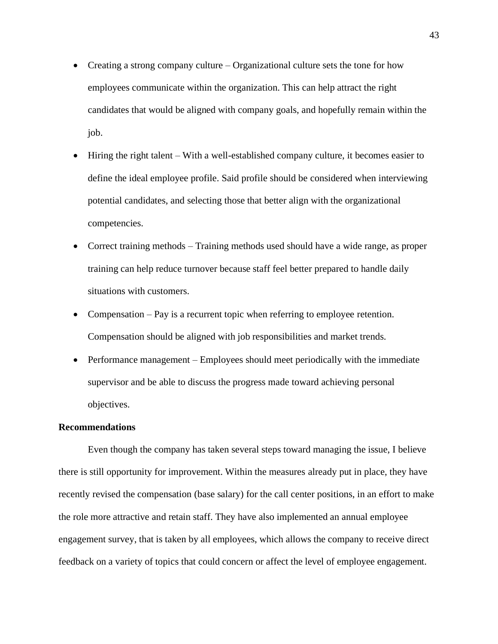- Creating a strong company culture Organizational culture sets the tone for how employees communicate within the organization. This can help attract the right candidates that would be aligned with company goals, and hopefully remain within the job.
- Hiring the right talent With a well-established company culture, it becomes easier to define the ideal employee profile. Said profile should be considered when interviewing potential candidates, and selecting those that better align with the organizational competencies.
- Correct training methods Training methods used should have a wide range, as proper training can help reduce turnover because staff feel better prepared to handle daily situations with customers.
- Compensation Pay is a recurrent topic when referring to employee retention. Compensation should be aligned with job responsibilities and market trends.
- Performance management Employees should meet periodically with the immediate supervisor and be able to discuss the progress made toward achieving personal objectives.

#### **Recommendations**

Even though the company has taken several steps toward managing the issue, I believe there is still opportunity for improvement. Within the measures already put in place, they have recently revised the compensation (base salary) for the call center positions, in an effort to make the role more attractive and retain staff. They have also implemented an annual employee engagement survey, that is taken by all employees, which allows the company to receive direct feedback on a variety of topics that could concern or affect the level of employee engagement.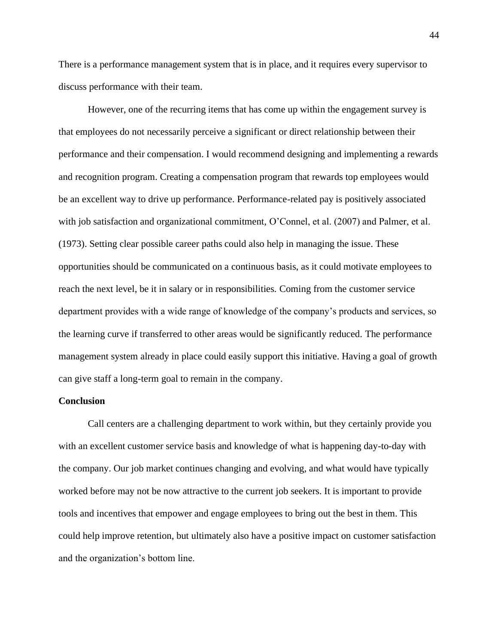There is a performance management system that is in place, and it requires every supervisor to discuss performance with their team.

However, one of the recurring items that has come up within the engagement survey is that employees do not necessarily perceive a significant or direct relationship between their performance and their compensation. I would recommend designing and implementing a rewards and recognition program. Creating a compensation program that rewards top employees would be an excellent way to drive up performance. Performance-related pay is positively associated with job satisfaction and organizational commitment, O'Connel, et al. (2007) and Palmer, et al. (1973). Setting clear possible career paths could also help in managing the issue. These opportunities should be communicated on a continuous basis, as it could motivate employees to reach the next level, be it in salary or in responsibilities. Coming from the customer service department provides with a wide range of knowledge of the company's products and services, so the learning curve if transferred to other areas would be significantly reduced. The performance management system already in place could easily support this initiative. Having a goal of growth can give staff a long-term goal to remain in the company.

### **Conclusion**

Call centers are a challenging department to work within, but they certainly provide you with an excellent customer service basis and knowledge of what is happening day-to-day with the company. Our job market continues changing and evolving, and what would have typically worked before may not be now attractive to the current job seekers. It is important to provide tools and incentives that empower and engage employees to bring out the best in them. This could help improve retention, but ultimately also have a positive impact on customer satisfaction and the organization's bottom line.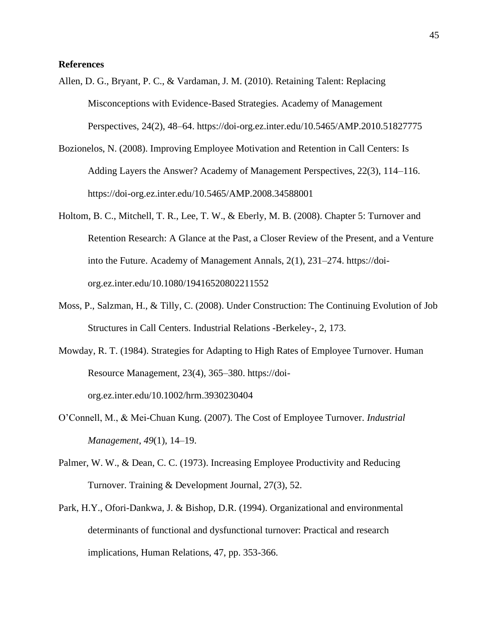## **References**

- Allen, D. G., Bryant, P. C., & Vardaman, J. M. (2010). Retaining Talent: Replacing Misconceptions with Evidence-Based Strategies. Academy of Management Perspectives, 24(2), 48–64.<https://doi-org.ez.inter.edu/10.5465/AMP.2010.51827775>
- Bozionelos, N. (2008). Improving Employee Motivation and Retention in Call Centers: Is Adding Layers the Answer? Academy of Management Perspectives, 22(3), 114–116. <https://doi-org.ez.inter.edu/10.5465/AMP.2008.34588001>
- Holtom, B. C., Mitchell, T. R., Lee, T. W., & Eberly, M. B. (2008). Chapter 5: Turnover and Retention Research: A Glance at the Past, a Closer Review of the Present, and a Venture into the Future. Academy of Management Annals, 2(1), 231–274. [https://doi](https://doi-org.ez.inter.edu/10.1080/19416520802211552)[org.ez.inter.edu/10.1080/19416520802211552](https://doi-org.ez.inter.edu/10.1080/19416520802211552)
- Moss, P., Salzman, H., & Tilly, C. (2008). Under Construction: The Continuing Evolution of Job Structures in Call Centers. Industrial Relations -Berkeley-, 2, 173.
- Mowday, R. T. (1984). Strategies for Adapting to High Rates of Employee Turnover. Human Resource Management, 23(4), 365–380. https://doiorg.ez.inter.edu/10.1002/hrm.3930230404
- O'Connell, M., & Mei-Chuan Kung. (2007). The Cost of Employee Turnover. *Industrial Management*, *49*(1), 14–19.
- Palmer, W. W., & Dean, C. C. (1973). Increasing Employee Productivity and Reducing Turnover. Training & Development Journal, 27(3), 52.
- Park, H.Y., Ofori-Dankwa, J. & Bishop, D.R. (1994). Organizational and environmental determinants of functional and dysfunctional turnover: Practical and research implications, Human Relations, 47, pp. 353-366.